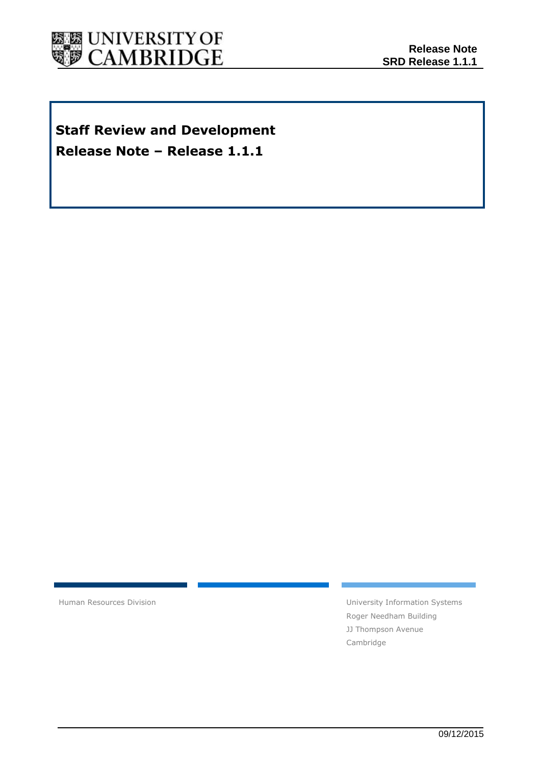

## **Staff Review and Development Release Note – Release 1.1.1**

Human Resources Division **National Executive Systems** University Information Systems Roger Needham Building JJ Thompson Avenue Cambridge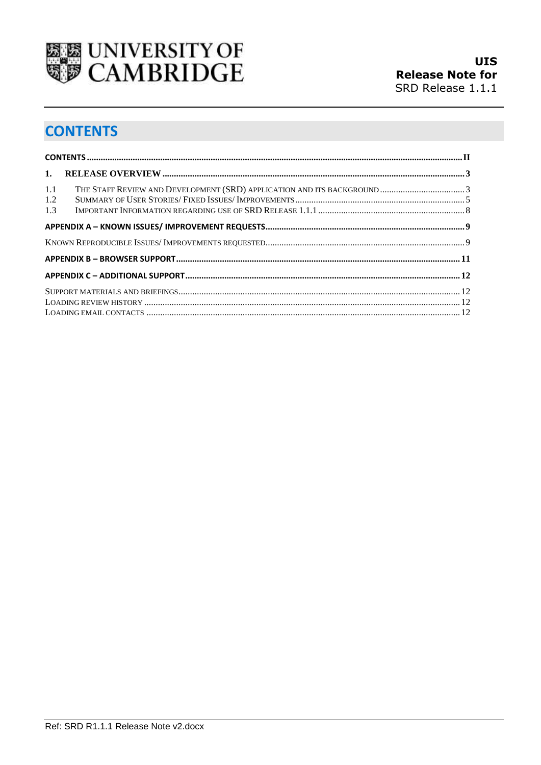

# <span id="page-1-0"></span>**CONTENTS**

| 1.                |  |
|-------------------|--|
| 1.1<br>1.2<br>1.3 |  |
|                   |  |
|                   |  |
|                   |  |
|                   |  |
|                   |  |
|                   |  |
|                   |  |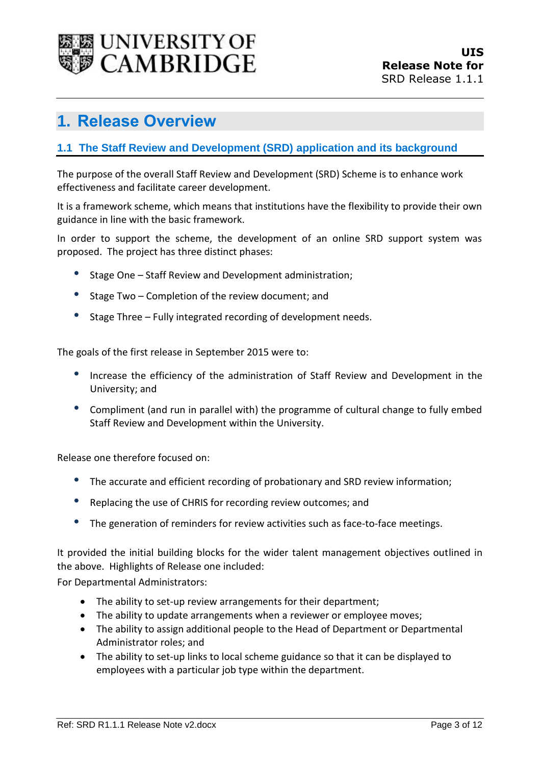

## <span id="page-2-0"></span>**1. Release Overview**

#### <span id="page-2-1"></span>**1.1 The Staff Review and Development (SRD) application and its background**

The purpose of the overall Staff Review and Development (SRD) Scheme is to enhance work effectiveness and facilitate career development.

It is a framework scheme, which means that institutions have the flexibility to provide their own guidance in line with the basic framework.

In order to support the scheme, the development of an online SRD support system was proposed. The project has three distinct phases:

- Stage One Staff Review and Development administration;
- Stage Two Completion of the review document; and
- Stage Three Fully integrated recording of development needs.

The goals of the first release in September 2015 were to:

- Increase the efficiency of the administration of Staff Review and Development in the University; and
- Compliment (and run in parallel with) the programme of cultural change to fully embed Staff Review and Development within the University.

Release one therefore focused on:

- The accurate and efficient recording of probationary and SRD review information;
- Replacing the use of CHRIS for recording review outcomes; and
- The generation of reminders for review activities such as face-to-face meetings.

It provided the initial building blocks for the wider talent management objectives outlined in the above. Highlights of Release one included:

For Departmental Administrators:

- The ability to set-up review arrangements for their department;
- The ability to update arrangements when a reviewer or employee moves;
- The ability to assign additional people to the Head of Department or Departmental Administrator roles; and
- The ability to set-up links to local scheme guidance so that it can be displayed to employees with a particular job type within the department.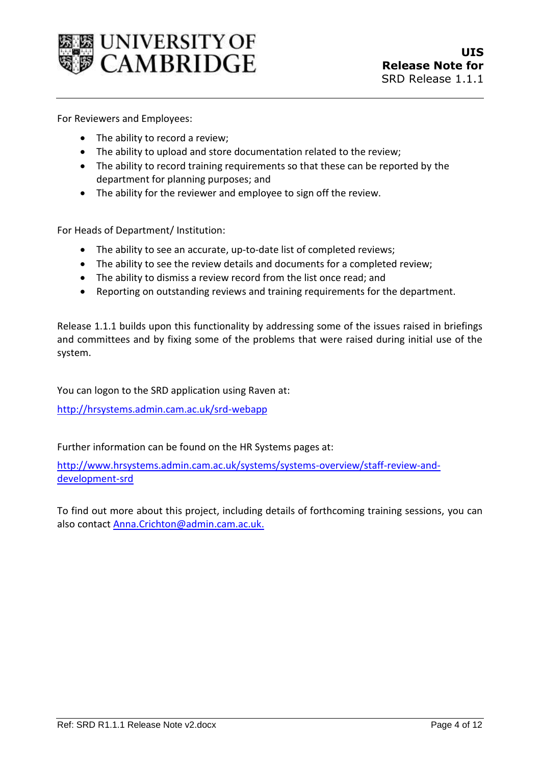

For Reviewers and Employees:

- The ability to record a review;
- The ability to upload and store documentation related to the review;
- The ability to record training requirements so that these can be reported by the department for planning purposes; and
- The ability for the reviewer and employee to sign off the review.

For Heads of Department/ Institution:

- The ability to see an accurate, up-to-date list of completed reviews;
- The ability to see the review details and documents for a completed review;
- The ability to dismiss a review record from the list once read; and
- Reporting on outstanding reviews and training requirements for the department.

Release 1.1.1 builds upon this functionality by addressing some of the issues raised in briefings and committees and by fixing some of the problems that were raised during initial use of the system.

You can logon to the SRD application using Raven at:

<http://hrsystems.admin.cam.ac.uk/srd-webapp>

Further information can be found on the HR Systems pages at:

[http://www.hrsystems.admin.cam.ac.uk/systems/systems-overview/staff-review-and](http://www.hrsystems.admin.cam.ac.uk/systems/systems-overview/staff-review-and-development-srd)[development-srd](http://www.hrsystems.admin.cam.ac.uk/systems/systems-overview/staff-review-and-development-srd)

To find out more about this project, including details of forthcoming training sessions, you can also contact [Anna.Crichton@admin.cam.ac.uk.](mailto:Anna.Crichton@admin.cam.ac.uk)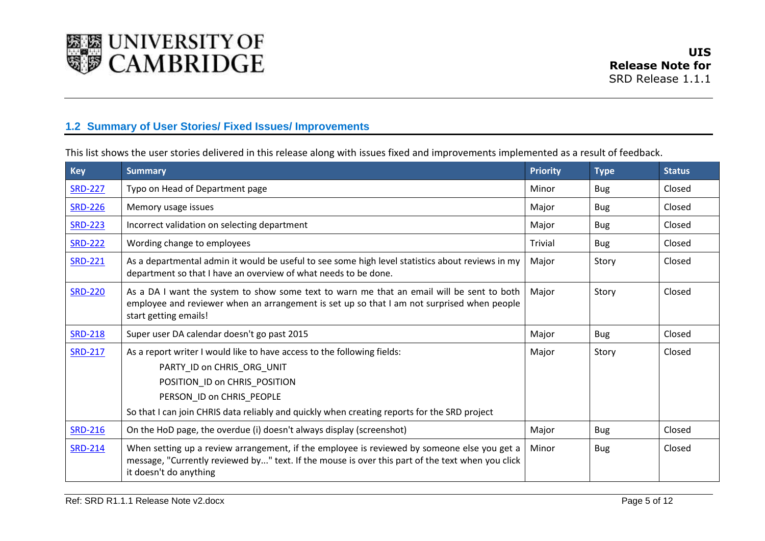

### **1.2 Summary of User Stories/ Fixed Issues/ Improvements**

This list shows the user stories delivered in this release along with issues fixed and improvements implemented as a result of feedback.

<span id="page-4-0"></span>

| <b>Key</b>     | <b>Summary</b>                                                                                                                                                                                                                                                      | <b>Priority</b> | <b>Type</b> | <b>Status</b> |
|----------------|---------------------------------------------------------------------------------------------------------------------------------------------------------------------------------------------------------------------------------------------------------------------|-----------------|-------------|---------------|
| <b>SRD-227</b> | Typo on Head of Department page                                                                                                                                                                                                                                     | Minor           | <b>Bug</b>  | Closed        |
| <b>SRD-226</b> | Memory usage issues                                                                                                                                                                                                                                                 | Major           | <b>Bug</b>  | Closed        |
| <b>SRD-223</b> | Incorrect validation on selecting department                                                                                                                                                                                                                        | Major           | <b>Bug</b>  | Closed        |
| <b>SRD-222</b> | Wording change to employees                                                                                                                                                                                                                                         | Trivial         | <b>Bug</b>  | Closed        |
| <b>SRD-221</b> | As a departmental admin it would be useful to see some high level statistics about reviews in my<br>department so that I have an overview of what needs to be done.                                                                                                 | Major           | Story       | Closed        |
| <b>SRD-220</b> | As a DA I want the system to show some text to warn me that an email will be sent to both<br>employee and reviewer when an arrangement is set up so that I am not surprised when people<br>start getting emails!                                                    | Major           | Story       | Closed        |
| <b>SRD-218</b> | Super user DA calendar doesn't go past 2015                                                                                                                                                                                                                         | Major           | <b>Bug</b>  | Closed        |
| <b>SRD-217</b> | As a report writer I would like to have access to the following fields:<br>PARTY_ID on CHRIS_ORG_UNIT<br>POSITION_ID on CHRIS_POSITION<br>PERSON_ID on CHRIS_PEOPLE<br>So that I can join CHRIS data reliably and quickly when creating reports for the SRD project | Major           | Story       | Closed        |
| <b>SRD-216</b> | On the HoD page, the overdue (i) doesn't always display (screenshot)                                                                                                                                                                                                | Major           | <b>Bug</b>  | Closed        |
| <b>SRD-214</b> | When setting up a review arrangement, if the employee is reviewed by someone else you get a<br>message, "Currently reviewed by" text. If the mouse is over this part of the text when you click<br>it doesn't do anything                                           | Minor           | <b>Bug</b>  | Closed        |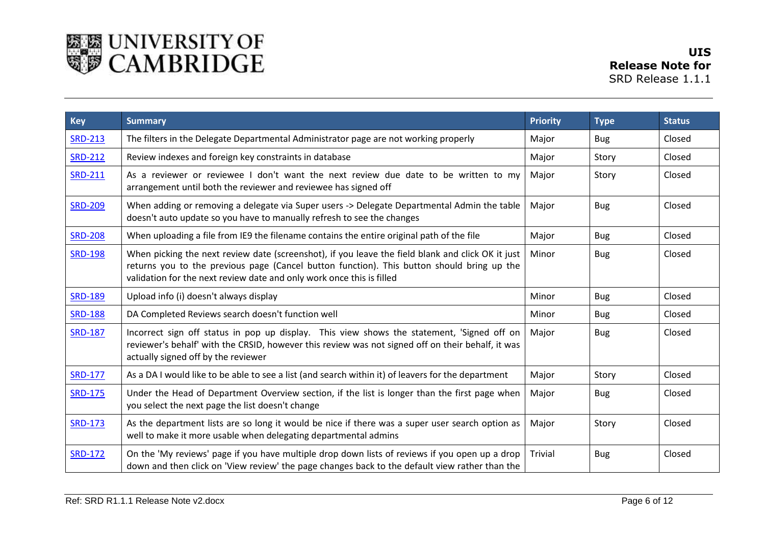

| <b>Key</b>     | <b>Summary</b>                                                                                                                                                                                                                                                           | <b>Priority</b> | <b>Type</b> | <b>Status</b> |
|----------------|--------------------------------------------------------------------------------------------------------------------------------------------------------------------------------------------------------------------------------------------------------------------------|-----------------|-------------|---------------|
| <b>SRD-213</b> | The filters in the Delegate Departmental Administrator page are not working properly                                                                                                                                                                                     | Major           | <b>Bug</b>  | Closed        |
| <b>SRD-212</b> | Review indexes and foreign key constraints in database                                                                                                                                                                                                                   | Major           | Story       | Closed        |
| <b>SRD-211</b> | As a reviewer or reviewee I don't want the next review due date to be written to my<br>arrangement until both the reviewer and reviewee has signed off                                                                                                                   | Major           | Story       | Closed        |
| <b>SRD-209</b> | When adding or removing a delegate via Super users -> Delegate Departmental Admin the table<br>doesn't auto update so you have to manually refresh to see the changes                                                                                                    | Major           | <b>Bug</b>  | Closed        |
| <b>SRD-208</b> | When uploading a file from IE9 the filename contains the entire original path of the file                                                                                                                                                                                | Major           | <b>Bug</b>  | Closed        |
| <b>SRD-198</b> | When picking the next review date (screenshot), if you leave the field blank and click OK it just<br>returns you to the previous page (Cancel button function). This button should bring up the<br>validation for the next review date and only work once this is filled | Minor           | <b>Bug</b>  | Closed        |
| <b>SRD-189</b> | Upload info (i) doesn't always display                                                                                                                                                                                                                                   | Minor           | <b>Bug</b>  | Closed        |
| <b>SRD-188</b> | DA Completed Reviews search doesn't function well                                                                                                                                                                                                                        | Minor           | <b>Bug</b>  | Closed        |
| <b>SRD-187</b> | Incorrect sign off status in pop up display. This view shows the statement, 'Signed off on<br>reviewer's behalf' with the CRSID, however this review was not signed off on their behalf, it was<br>actually signed off by the reviewer                                   | Major           | <b>Bug</b>  | Closed        |
| <b>SRD-177</b> | As a DA I would like to be able to see a list (and search within it) of leavers for the department                                                                                                                                                                       | Major           | Story       | Closed        |
| <b>SRD-175</b> | Under the Head of Department Overview section, if the list is longer than the first page when<br>you select the next page the list doesn't change                                                                                                                        | Major           | <b>Bug</b>  | Closed        |
| <b>SRD-173</b> | As the department lists are so long it would be nice if there was a super user search option as<br>well to make it more usable when delegating departmental admins                                                                                                       | Major           | Story       | Closed        |
| <b>SRD-172</b> | On the 'My reviews' page if you have multiple drop down lists of reviews if you open up a drop<br>down and then click on 'View review' the page changes back to the default view rather than the                                                                         | Trivial         | <b>Bug</b>  | Closed        |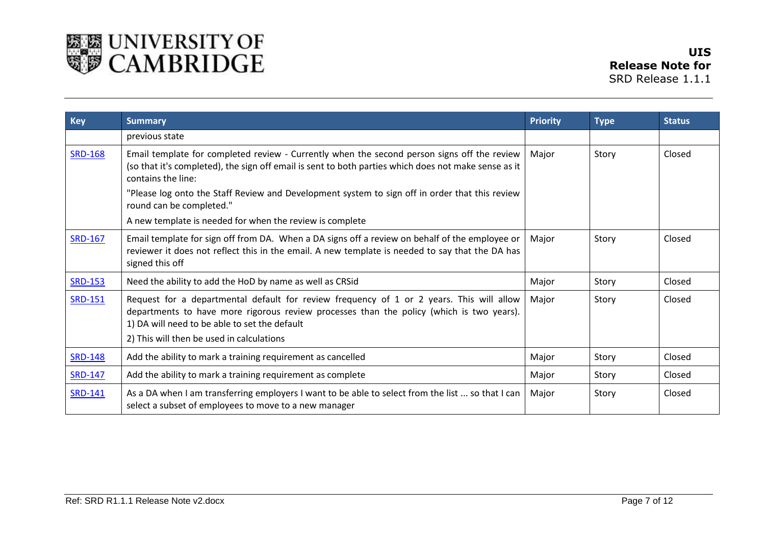

| <b>Key</b>     | <b>Summary</b>                                                                                                                                                                                                                                                                     | <b>Priority</b> | <b>Type</b> | <b>Status</b> |
|----------------|------------------------------------------------------------------------------------------------------------------------------------------------------------------------------------------------------------------------------------------------------------------------------------|-----------------|-------------|---------------|
|                | previous state                                                                                                                                                                                                                                                                     |                 |             |               |
| <b>SRD-168</b> | Email template for completed review - Currently when the second person signs off the review<br>Major<br>(so that it's completed), the sign off email is sent to both parties which does not make sense as it<br>contains the line:                                                 |                 | Story       | Closed        |
|                | "Please log onto the Staff Review and Development system to sign off in order that this review<br>round can be completed."                                                                                                                                                         |                 |             |               |
|                | A new template is needed for when the review is complete                                                                                                                                                                                                                           |                 |             |               |
| <b>SRD-167</b> | Email template for sign off from DA. When a DA signs off a review on behalf of the employee or<br>reviewer it does not reflect this in the email. A new template is needed to say that the DA has<br>signed this off                                                               | Major           | Story       | Closed        |
| <b>SRD-153</b> | Need the ability to add the HoD by name as well as CRSid                                                                                                                                                                                                                           | Major           | Story       | Closed        |
| <b>SRD-151</b> | Request for a departmental default for review frequency of 1 or 2 years. This will allow<br>departments to have more rigorous review processes than the policy (which is two years).<br>1) DA will need to be able to set the default<br>2) This will then be used in calculations | Major           | Story       | Closed        |
| <b>SRD-148</b> | Add the ability to mark a training requirement as cancelled                                                                                                                                                                                                                        | Major           | Story       | Closed        |
| <b>SRD-147</b> | Add the ability to mark a training requirement as complete                                                                                                                                                                                                                         | Major           | Story       | Closed        |
| <b>SRD-141</b> | As a DA when I am transferring employers I want to be able to select from the list  so that I can<br>select a subset of employees to move to a new manager                                                                                                                         | Major           | Story       | Closed        |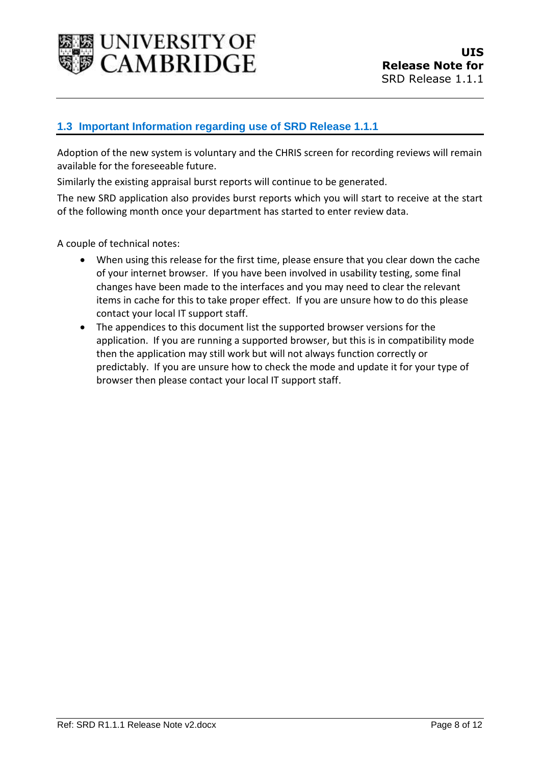

#### <span id="page-7-0"></span>**1.3 Important Information regarding use of SRD Release 1.1.1**

Adoption of the new system is voluntary and the CHRIS screen for recording reviews will remain available for the foreseeable future.

Similarly the existing appraisal burst reports will continue to be generated.

The new SRD application also provides burst reports which you will start to receive at the start of the following month once your department has started to enter review data.

A couple of technical notes:

- When using this release for the first time, please ensure that you clear down the cache of your internet browser. If you have been involved in usability testing, some final changes have been made to the interfaces and you may need to clear the relevant items in cache for this to take proper effect. If you are unsure how to do this please contact your local IT support staff.
- The appendices to this document list the supported browser versions for the application. If you are running a supported browser, but this is in compatibility mode then the application may still work but will not always function correctly or predictably. If you are unsure how to check the mode and update it for your type of browser then please contact your local IT support staff.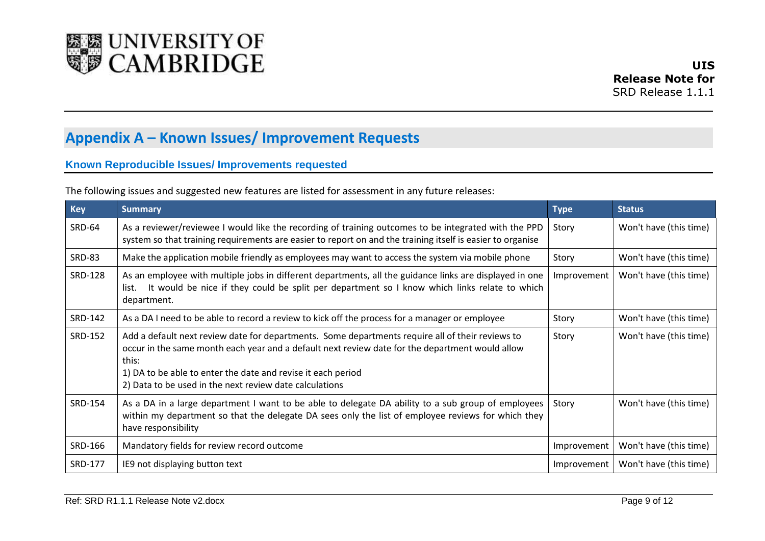

# **Appendix A – Known Issues/ Improvement Requests**

#### **Known Reproducible Issues/ Improvements requested**

|  |  | The following issues and suggested new features are listed for assessment in any future releases: |
|--|--|---------------------------------------------------------------------------------------------------|
|--|--|---------------------------------------------------------------------------------------------------|

<span id="page-8-1"></span><span id="page-8-0"></span>

| <b>Key</b>     | <b>Summary</b>                                                                                                                                                                                                                                                                                                                          | <b>Type</b> | <b>Status</b>          |
|----------------|-----------------------------------------------------------------------------------------------------------------------------------------------------------------------------------------------------------------------------------------------------------------------------------------------------------------------------------------|-------------|------------------------|
| <b>SRD-64</b>  | As a reviewer/reviewee I would like the recording of training outcomes to be integrated with the PPD<br>system so that training requirements are easier to report on and the training itself is easier to organise                                                                                                                      | Story       | Won't have (this time) |
| <b>SRD-83</b>  | Make the application mobile friendly as employees may want to access the system via mobile phone                                                                                                                                                                                                                                        | Story       | Won't have (this time) |
| <b>SRD-128</b> | As an employee with multiple jobs in different departments, all the guidance links are displayed in one<br>It would be nice if they could be split per department so I know which links relate to which<br>list.<br>department.                                                                                                         | Improvement | Won't have (this time) |
| SRD-142        | As a DA I need to be able to record a review to kick off the process for a manager or employee                                                                                                                                                                                                                                          | Story       | Won't have (this time) |
| <b>SRD-152</b> | Add a default next review date for departments. Some departments require all of their reviews to<br>occur in the same month each year and a default next review date for the department would allow<br>this:<br>1) DA to be able to enter the date and revise it each period<br>2) Data to be used in the next review date calculations | Story       | Won't have (this time) |
| SRD-154        | As a DA in a large department I want to be able to delegate DA ability to a sub group of employees<br>within my department so that the delegate DA sees only the list of employee reviews for which they<br>have responsibility                                                                                                         | Story       | Won't have (this time) |
| SRD-166        | Mandatory fields for review record outcome                                                                                                                                                                                                                                                                                              | Improvement | Won't have (this time) |
| <b>SRD-177</b> | IE9 not displaying button text                                                                                                                                                                                                                                                                                                          | Improvement | Won't have (this time) |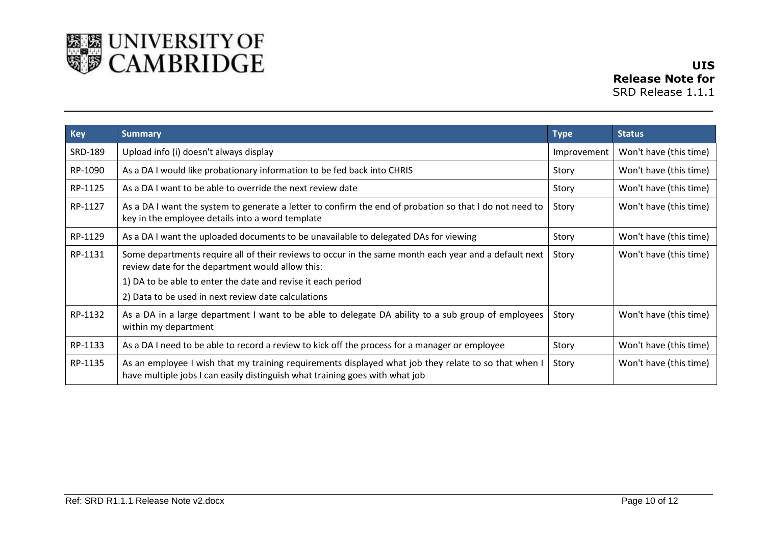

**UIS Release Note for**  SRD Release 1.1.1

| <b>Key</b> | <b>Summary</b>                                                                                                                                                                       | <b>Type</b> | <b>Status</b>          |
|------------|--------------------------------------------------------------------------------------------------------------------------------------------------------------------------------------|-------------|------------------------|
| SRD-189    | Upload info (i) doesn't always display                                                                                                                                               | Improvement | Won't have (this time) |
| RP-1090    | As a DA I would like probationary information to be fed back into CHRIS                                                                                                              | Story       | Won't have (this time) |
| RP-1125    | As a DA I want to be able to override the next review date                                                                                                                           | Story       | Won't have (this time) |
| RP-1127    | As a DA I want the system to generate a letter to confirm the end of probation so that I do not need to<br>key in the employee details into a word template                          | Story       | Won't have (this time) |
| RP-1129    | As a DA I want the uploaded documents to be unavailable to delegated DAs for viewing                                                                                                 | Story       | Won't have (this time) |
| RP-1131    | Some departments require all of their reviews to occur in the same month each year and a default next<br>review date for the department would allow this:                            | Story       | Won't have (this time) |
|            | 1) DA to be able to enter the date and revise it each period                                                                                                                         |             |                        |
|            | 2) Data to be used in next review date calculations                                                                                                                                  |             |                        |
| RP-1132    | As a DA in a large department I want to be able to delegate DA ability to a sub group of employees<br>within my department                                                           | Story       | Won't have (this time) |
| RP-1133    | As a DA I need to be able to record a review to kick off the process for a manager or employee                                                                                       | Story       | Won't have (this time) |
| RP-1135    | As an employee I wish that my training requirements displayed what job they relate to so that when I<br>have multiple jobs I can easily distinguish what training goes with what job | Story       | Won't have (this time) |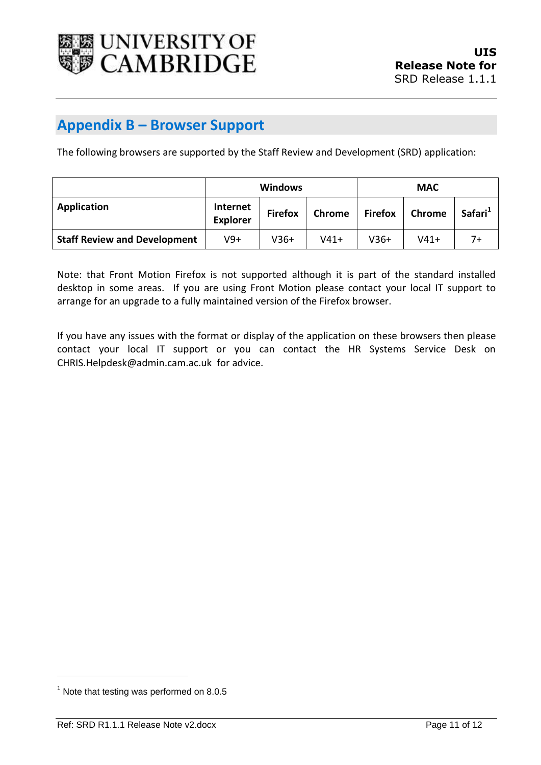

### <span id="page-10-0"></span>**Appendix B – Browser Support**

The following browsers are supported by the Staff Review and Development (SRD) application:

|                                     | <b>Windows</b>              |                |        |                | <b>MAC</b> |                     |
|-------------------------------------|-----------------------------|----------------|--------|----------------|------------|---------------------|
| Application                         | Internet<br><b>Explorer</b> | <b>Firefox</b> | Chrome | <b>Firefox</b> | Chrome     | Safari <sup>1</sup> |
| <b>Staff Review and Development</b> | V9+                         | $V36+$         | $V41+$ | $V36+$         | $V41+$     | 7+                  |

Note: that Front Motion Firefox is not supported although it is part of the standard installed desktop in some areas. If you are using Front Motion please contact your local IT support to arrange for an upgrade to a fully maintained version of the Firefox browser.

If you have any issues with the format or display of the application on these browsers then please contact your local IT support or you can contact the HR Systems Service Desk on CHRIS.Helpdesk@admin.cam.ac.uk for advice.

l

 $<sup>1</sup>$  Note that testing was performed on 8.0.5</sup>